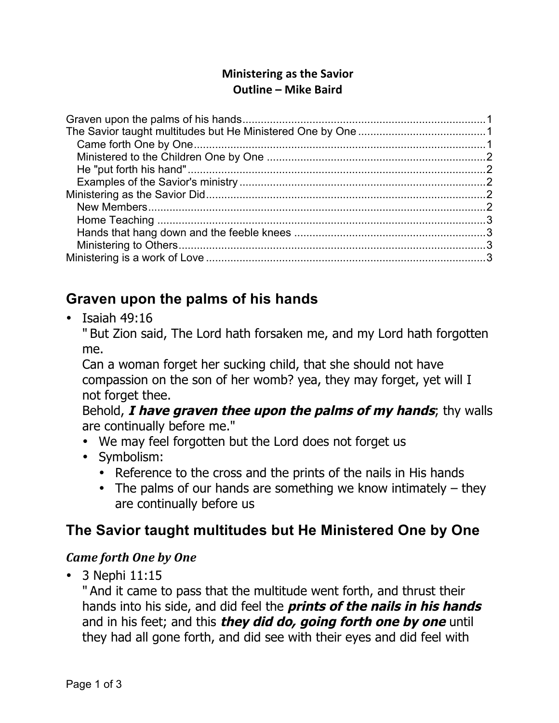### **Ministering as the Savior Outline – Mike Baird**

# <span id="page-0-0"></span>**Graven upon the palms of his hands**

• Isaiah 49:16

" But Zion said, The Lord hath forsaken me, and my Lord hath forgotten me.

Can a woman forget her sucking child, that she should not have compassion on the son of her womb? yea, they may forget, yet will I not forget thee.

Behold, **I have graven thee upon the palms of my hands**; thy walls are continually before me."

- We may feel forgotten but the Lord does not forget us
- Symbolism:
	- Reference to the cross and the prints of the nails in His hands
	- The palms of our hands are something we know intimately  $-$  they are continually before us

# <span id="page-0-1"></span>**The Savior taught multitudes but He Ministered One by One**

## <span id="page-0-2"></span>*Came forth One by One*

• 3 Nephi 11:15

" And it came to pass that the multitude went forth, and thrust their hands into his side, and did feel the **prints of the nails in his hands** and in his feet; and this **they did do, going forth one by one** until they had all gone forth, and did see with their eyes and did feel with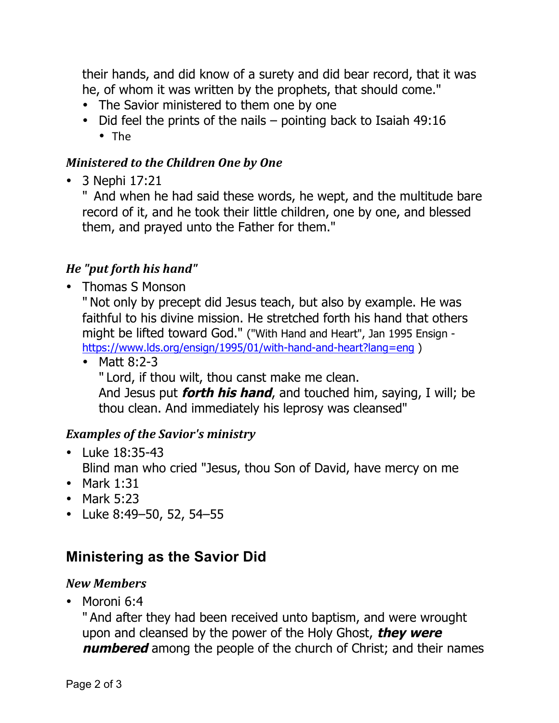their hands, and did know of a surety and did bear record, that it was he, of whom it was written by the prophets, that should come."

- The Savior ministered to them one by one
- Did feel the prints of the nails pointing back to Isaiah 49:16 • The

### <span id="page-1-0"></span>*Ministered to the Children One by One*

• 3 Nephi 17:21

" And when he had said these words, he wept, and the multitude bare record of it, and he took their little children, one by one, and blessed them, and prayed unto the Father for them."

## <span id="page-1-1"></span>*He "put forth his hand"*

• Thomas S Monson

" Not only by precept did Jesus teach, but also by example. He was faithful to his divine mission. He stretched forth his hand that others might be lifted toward God." ("With Hand and Heart", Jan 1995 Ensign <https://www.lds.org/ensign/1995/01/with-hand-and-heart?lang=eng> )

• Matt 8:2-3 " Lord, if thou wilt, thou canst make me clean. And Jesus put **forth his hand**, and touched him, saying, I will; be thou clean. And immediately his leprosy was cleansed"

## <span id="page-1-2"></span>*Examples of the Savior's ministry*

- Luke 18:35-43 Blind man who cried "Jesus, thou Son of David, have mercy on me
- Mark 1:31
- Mark 5:23
- Luke 8:49–50, 52, 54–55

## <span id="page-1-3"></span>**Ministering as the Savior Did**

#### <span id="page-1-4"></span>*New Members*

• Moroni 6:4

" And after they had been received unto baptism, and were wrought upon and cleansed by the power of the Holy Ghost, **they were numbered** among the people of the church of Christ; and their names